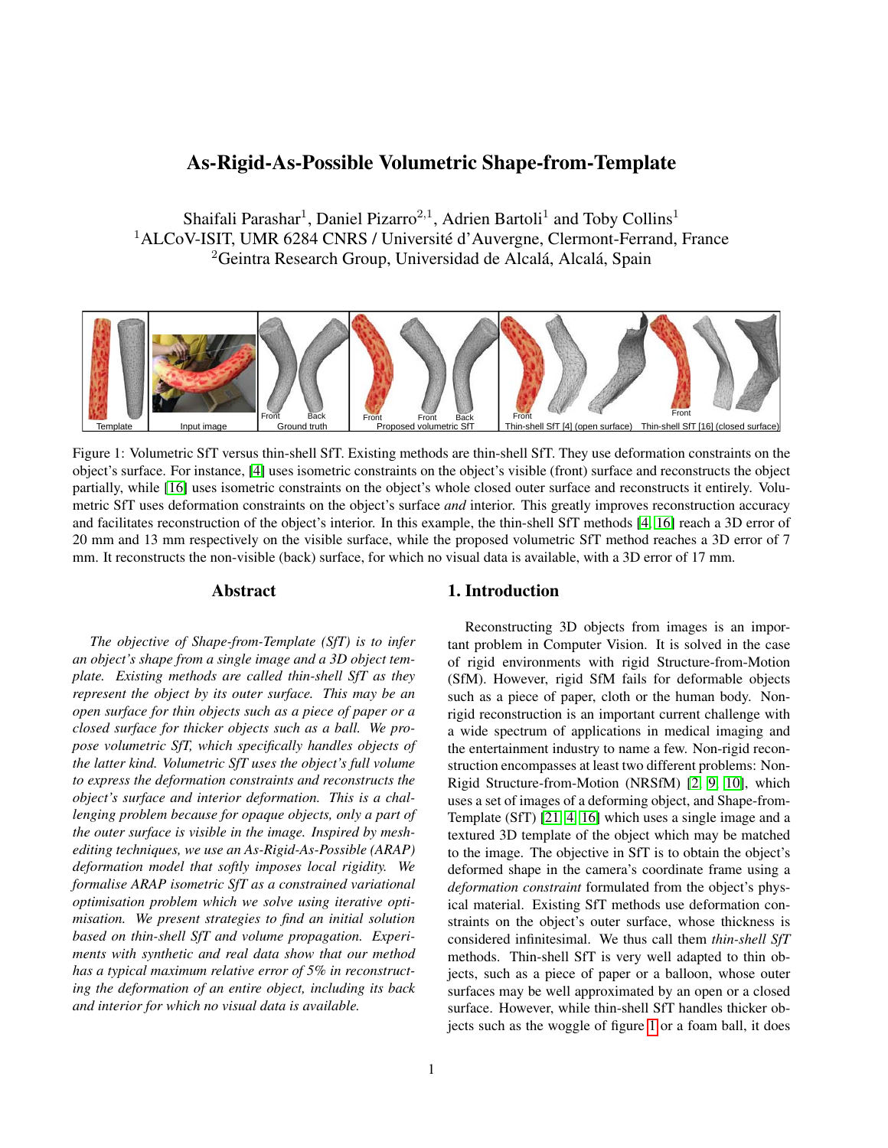# As-Rigid-As-Possible Volumetric Shape-from-Template

Shaifali Parashar<sup>1</sup>, Daniel Pizarro<sup>2,1</sup>, Adrien Bartoli<sup>1</sup> and Toby Collins<sup>1</sup> <sup>1</sup>ALCoV-ISIT, UMR 6284 CNRS / Université d'Auvergne, Clermont-Ferrand, France  ${}^{2}$ Geintra Research Group, Universidad de Alcalá, Alcalá, Spain

<span id="page-0-0"></span>

Figure 1: Volumetric SfT versus thin-shell SfT. Existing methods are thin-shell SfT. They use deformation constraints on the object's surface. For instance, [\[4\]](#page-8-0) uses isometric constraints on the object's visible (front) surface and reconstructs the object partially, while [\[16\]](#page-8-1) uses isometric constraints on the object's whole closed outer surface and reconstructs it entirely. Volumetric SfT uses deformation constraints on the object's surface *and* interior. This greatly improves reconstruction accuracy and facilitates reconstruction of the object's interior. In this example, the thin-shell SfT methods [\[4,](#page-8-0) [16\]](#page-8-1) reach a 3D error of 20 mm and 13 mm respectively on the visible surface, while the proposed volumetric SfT method reaches a 3D error of 7 mm. It reconstructs the non-visible (back) surface, for which no visual data is available, with a 3D error of 17 mm.

### Abstract

*The objective of Shape-from-Template (SfT) is to infer an object's shape from a single image and a 3D object template. Existing methods are called thin-shell SfT as they represent the object by its outer surface. This may be an open surface for thin objects such as a piece of paper or a closed surface for thicker objects such as a ball. We propose volumetric SfT, which specifically handles objects of the latter kind. Volumetric SfT uses the object's full volume to express the deformation constraints and reconstructs the object's surface and interior deformation. This is a challenging problem because for opaque objects, only a part of the outer surface is visible in the image. Inspired by meshediting techniques, we use an As-Rigid-As-Possible (ARAP) deformation model that softly imposes local rigidity. We formalise ARAP isometric SfT as a constrained variational optimisation problem which we solve using iterative optimisation. We present strategies to find an initial solution based on thin-shell SfT and volume propagation. Experiments with synthetic and real data show that our method has a typical maximum relative error of 5% in reconstructing the deformation of an entire object, including its back and interior for which no visual data is available.*

## 1. Introduction

Reconstructing 3D objects from images is an important problem in Computer Vision. It is solved in the case of rigid environments with rigid Structure-from-Motion (SfM). However, rigid SfM fails for deformable objects such as a piece of paper, cloth or the human body. Nonrigid reconstruction is an important current challenge with a wide spectrum of applications in medical imaging and the entertainment industry to name a few. Non-rigid reconstruction encompasses at least two different problems: Non-Rigid Structure-from-Motion (NRSfM) [\[2,](#page-8-2) [9,](#page-8-3) [10\]](#page-8-4), which uses a set of images of a deforming object, and Shape-from-Template (SfT) [\[21,](#page-8-5) [4,](#page-8-0) [16\]](#page-8-1) which uses a single image and a textured 3D template of the object which may be matched to the image. The objective in SfT is to obtain the object's deformed shape in the camera's coordinate frame using a *deformation constraint* formulated from the object's physical material. Existing SfT methods use deformation constraints on the object's outer surface, whose thickness is considered infinitesimal. We thus call them *thin-shell SfT* methods. Thin-shell SfT is very well adapted to thin objects, such as a piece of paper or a balloon, whose outer surfaces may be well approximated by an open or a closed surface. However, while thin-shell SfT handles thicker objects such as the woggle of figure [1](#page-0-0) or a foam ball, it does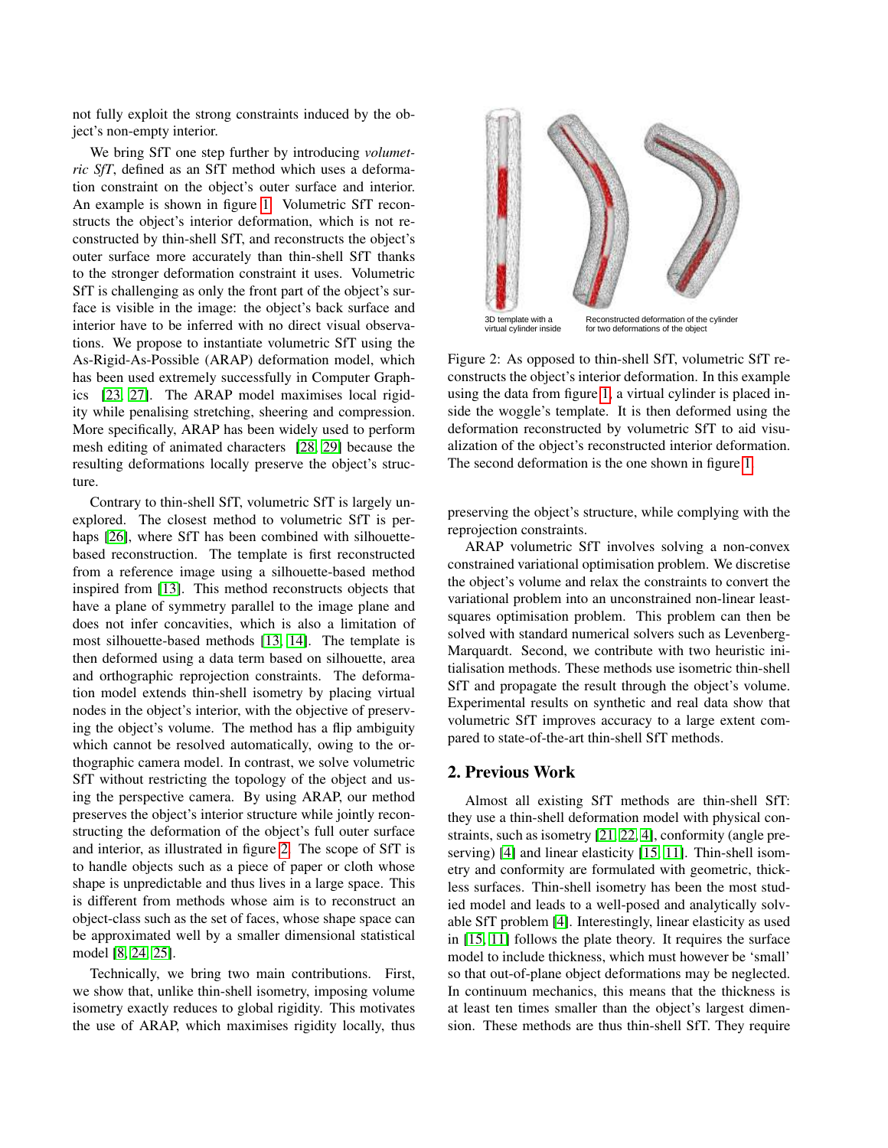not fully exploit the strong constraints induced by the object's non-empty interior.

We bring SfT one step further by introducing *volumetric SfT*, defined as an SfT method which uses a deformation constraint on the object's outer surface and interior. An example is shown in figure [1.](#page-0-0) Volumetric SfT reconstructs the object's interior deformation, which is not reconstructed by thin-shell SfT, and reconstructs the object's outer surface more accurately than thin-shell SfT thanks to the stronger deformation constraint it uses. Volumetric SfT is challenging as only the front part of the object's surface is visible in the image: the object's back surface and interior have to be inferred with no direct visual observations. We propose to instantiate volumetric SfT using the As-Rigid-As-Possible (ARAP) deformation model, which has been used extremely successfully in Computer Graphics [\[23,](#page-8-6) [27\]](#page-8-7). The ARAP model maximises local rigidity while penalising stretching, sheering and compression. More specifically, ARAP has been widely used to perform mesh editing of animated characters [\[28,](#page-8-8) [29\]](#page-8-9) because the resulting deformations locally preserve the object's structure.

Contrary to thin-shell SfT, volumetric SfT is largely unexplored. The closest method to volumetric SfT is per-haps [\[26\]](#page-8-10), where SfT has been combined with silhouettebased reconstruction. The template is first reconstructed from a reference image using a silhouette-based method inspired from [\[13\]](#page-8-11). This method reconstructs objects that have a plane of symmetry parallel to the image plane and does not infer concavities, which is also a limitation of most silhouette-based methods [\[13,](#page-8-11) [14\]](#page-8-12). The template is then deformed using a data term based on silhouette, area and orthographic reprojection constraints. The deformation model extends thin-shell isometry by placing virtual nodes in the object's interior, with the objective of preserving the object's volume. The method has a flip ambiguity which cannot be resolved automatically, owing to the orthographic camera model. In contrast, we solve volumetric SfT without restricting the topology of the object and using the perspective camera. By using ARAP, our method preserves the object's interior structure while jointly reconstructing the deformation of the object's full outer surface and interior, as illustrated in figure [2.](#page-1-0) The scope of SfT is to handle objects such as a piece of paper or cloth whose shape is unpredictable and thus lives in a large space. This is different from methods whose aim is to reconstruct an object-class such as the set of faces, whose shape space can be approximated well by a smaller dimensional statistical model [\[8,](#page-8-13) [24,](#page-8-14) [25\]](#page-8-15).

Technically, we bring two main contributions. First, we show that, unlike thin-shell isometry, imposing volume isometry exactly reduces to global rigidity. This motivates the use of ARAP, which maximises rigidity locally, thus

<span id="page-1-0"></span>

Figure 2: As opposed to thin-shell SfT, volumetric SfT reconstructs the object's interior deformation. In this example using the data from figure [1,](#page-0-0) a virtual cylinder is placed inside the woggle's template. It is then deformed using the deformation reconstructed by volumetric SfT to aid visualization of the object's reconstructed interior deformation. The second deformation is the one shown in figure [1.](#page-0-0)

preserving the object's structure, while complying with the reprojection constraints.

ARAP volumetric SfT involves solving a non-convex constrained variational optimisation problem. We discretise the object's volume and relax the constraints to convert the variational problem into an unconstrained non-linear leastsquares optimisation problem. This problem can then be solved with standard numerical solvers such as Levenberg-Marquardt. Second, we contribute with two heuristic initialisation methods. These methods use isometric thin-shell SfT and propagate the result through the object's volume. Experimental results on synthetic and real data show that volumetric SfT improves accuracy to a large extent compared to state-of-the-art thin-shell SfT methods.

### 2. Previous Work

Almost all existing SfT methods are thin-shell SfT: they use a thin-shell deformation model with physical constraints, such as isometry [\[21,](#page-8-5) [22,](#page-8-16) [4\]](#page-8-0), conformity (angle pre-serving) [\[4\]](#page-8-0) and linear elasticity [\[15,](#page-8-17) [11\]](#page-8-18). Thin-shell isometry and conformity are formulated with geometric, thickless surfaces. Thin-shell isometry has been the most studied model and leads to a well-posed and analytically solvable SfT problem [\[4\]](#page-8-0). Interestingly, linear elasticity as used in [\[15,](#page-8-17) [11\]](#page-8-18) follows the plate theory. It requires the surface model to include thickness, which must however be 'small' so that out-of-plane object deformations may be neglected. In continuum mechanics, this means that the thickness is at least ten times smaller than the object's largest dimension. These methods are thus thin-shell SfT. They require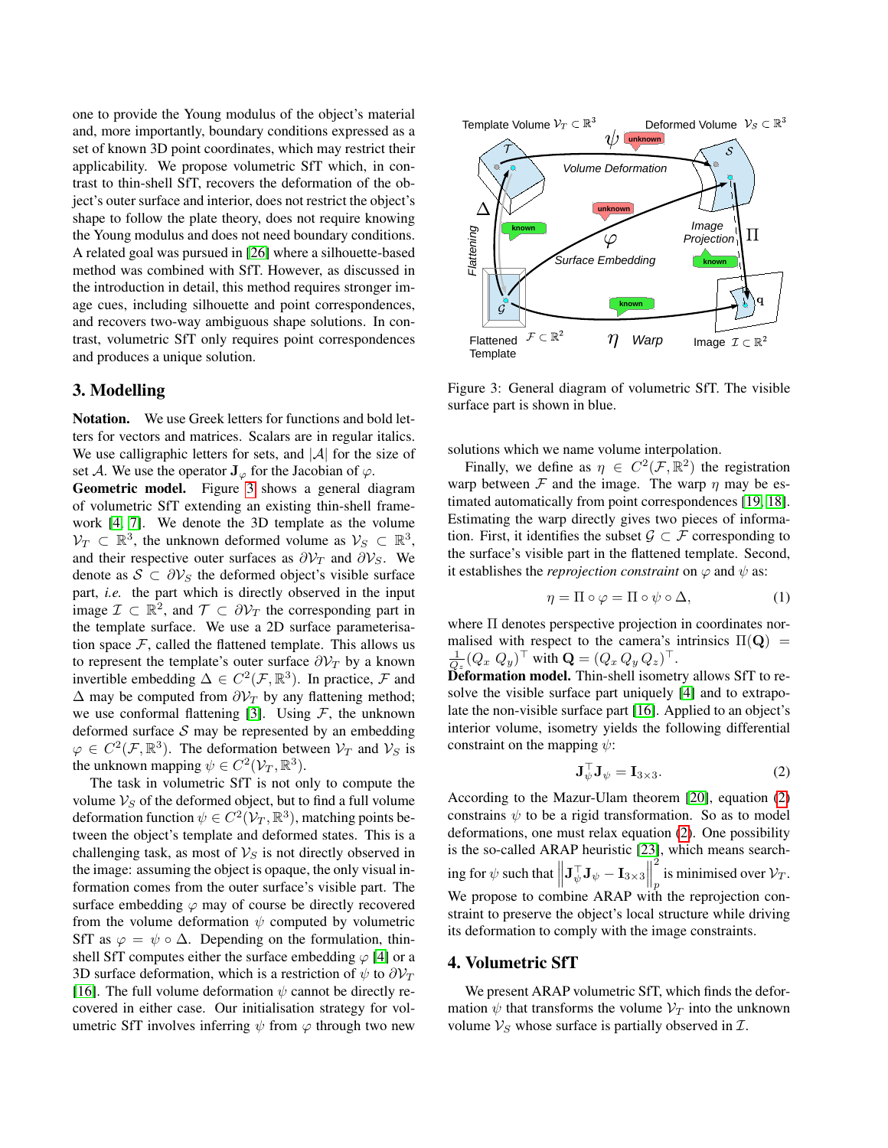one to provide the Young modulus of the object's material and, more importantly, boundary conditions expressed as a set of known 3D point coordinates, which may restrict their applicability. We propose volumetric SfT which, in contrast to thin-shell SfT, recovers the deformation of the object's outer surface and interior, does not restrict the object's shape to follow the plate theory, does not require knowing the Young modulus and does not need boundary conditions. A related goal was pursued in [\[26\]](#page-8-10) where a silhouette-based method was combined with SfT. However, as discussed in the introduction in detail, this method requires stronger image cues, including silhouette and point correspondences, and recovers two-way ambiguous shape solutions. In contrast, volumetric SfT only requires point correspondences and produces a unique solution.

### 3. Modelling

Notation. We use Greek letters for functions and bold letters for vectors and matrices. Scalars are in regular italics. We use calligraphic letters for sets, and  $|\mathcal{A}|$  for the size of set A. We use the operator  $J_{\varphi}$  for the Jacobian of  $\varphi$ .

Geometric model. Figure [3](#page-2-0) shows a general diagram of volumetric SfT extending an existing thin-shell framework [\[4,](#page-8-0) [7\]](#page-8-19). We denote the 3D template as the volume  $\mathcal{V}_T \subset \mathbb{R}^3$ , the unknown deformed volume as  $\mathcal{V}_S \subset \mathbb{R}^3$ , and their respective outer surfaces as  $\partial \mathcal{V}_T$  and  $\partial \mathcal{V}_S$ . We denote as  $S \subset \partial V_S$  the deformed object's visible surface part, *i.e.* the part which is directly observed in the input image  $\mathcal{I} \subset \mathbb{R}^2$ , and  $\mathcal{T} \subset \partial \mathcal{V}_T$  the corresponding part in the template surface. We use a 2D surface parameterisation space  $F$ , called the flattened template. This allows us to represent the template's outer surface  $\partial \mathcal{V}_T$  by a known invertible embedding  $\Delta \in C^2(\mathcal{F}, \mathbb{R}^3)$ . In practice,  $\mathcal F$  and  $\Delta$  may be computed from  $\partial \mathcal{V}_T$  by any flattening method; we use conformal flattening [\[3\]](#page-8-20). Using  $F$ , the unknown deformed surface  $S$  may be represented by an embedding  $\varphi \in C^2(\mathcal{F}, \mathbb{R}^3)$ . The deformation between  $\mathcal{V}_T$  and  $\mathcal{V}_S$  is the unknown mapping  $\psi \in C^2(\mathcal{V}_T, \mathbb{R}^3)$ .

The task in volumetric SfT is not only to compute the volume  $V_S$  of the deformed object, but to find a full volume deformation function  $\psi \in C^2(\mathcal{V}_T,\mathbb{R}^3)$ , matching points between the object's template and deformed states. This is a challenging task, as most of  $\mathcal{V}_S$  is not directly observed in the image: assuming the object is opaque, the only visual information comes from the outer surface's visible part. The surface embedding  $\varphi$  may of course be directly recovered from the volume deformation  $\psi$  computed by volumetric SfT as  $\varphi = \psi \circ \Delta$ . Depending on the formulation, thinshell SfT computes either the surface embedding  $\varphi$  [\[4\]](#page-8-0) or a 3D surface deformation, which is a restriction of  $\psi$  to  $\partial \mathcal{V}_T$ [\[16\]](#page-8-1). The full volume deformation  $\psi$  cannot be directly recovered in either case. Our initialisation strategy for volumetric SfT involves inferring  $\psi$  from  $\varphi$  through two new

<span id="page-2-0"></span>



Figure 3: General diagram of volumetric SfT. The visible surface part is shown in blue.

solutions which we name volume interpolation.

Finally, we define as  $\eta \in C^2(\mathcal{F}, \mathbb{R}^2)$  the registration warp between  $\mathcal F$  and the image. The warp  $\eta$  may be estimated automatically from point correspondences [\[19,](#page-8-21) [18\]](#page-8-22). Estimating the warp directly gives two pieces of information. First, it identifies the subset  $\mathcal{G} \subset \mathcal{F}$  corresponding to the surface's visible part in the flattened template. Second, it establishes the *reprojection constraint* on  $\varphi$  and  $\psi$  as:

<span id="page-2-2"></span>
$$
\eta = \Pi \circ \varphi = \Pi \circ \psi \circ \Delta,\tag{1}
$$

where Π denotes perspective projection in coordinates normalised with respect to the camera's intrinsics  $\Pi(Q)$  =  $\frac{1}{Q_z}(Q_x \ Q_y)^\top$  with  $\mathbf{Q} = (Q_x \ Q_y \ Q_z)^\top$ .

Deformation model. Thin-shell isometry allows SfT to resolve the visible surface part uniquely [\[4\]](#page-8-0) and to extrapolate the non-visible surface part [\[16\]](#page-8-1). Applied to an object's interior volume, isometry yields the following differential constraint on the mapping  $\psi$ :

<span id="page-2-1"></span>
$$
\mathbf{J}_{\psi}^{\top}\mathbf{J}_{\psi} = \mathbf{I}_{3\times 3}.
$$
 (2)

According to the Mazur-Ulam theorem [\[20\]](#page-8-23), equation [\(2\)](#page-2-1) constrains  $\psi$  to be a rigid transformation. So as to model deformations, one must relax equation [\(2\)](#page-2-1). One possibility is the so-called ARAP heuristic [\[23\]](#page-8-6), which means searching for  $\psi$  such that  $\left\| \mathbf{J}_{\psi}^{\top} \mathbf{J}_{\psi} - \mathbf{I}_{3 \times 3} \right\|$ 2 is minimised over  $\mathcal{V}_T$ . We propose to combine ARAP with the reprojection constraint to preserve the object's local structure while driving its deformation to comply with the image constraints.

### 4. Volumetric SfT

We present ARAP volumetric SfT, which finds the deformation  $\psi$  that transforms the volume  $V_T$  into the unknown volume  $V_S$  whose surface is partially observed in  $\mathcal{I}$ .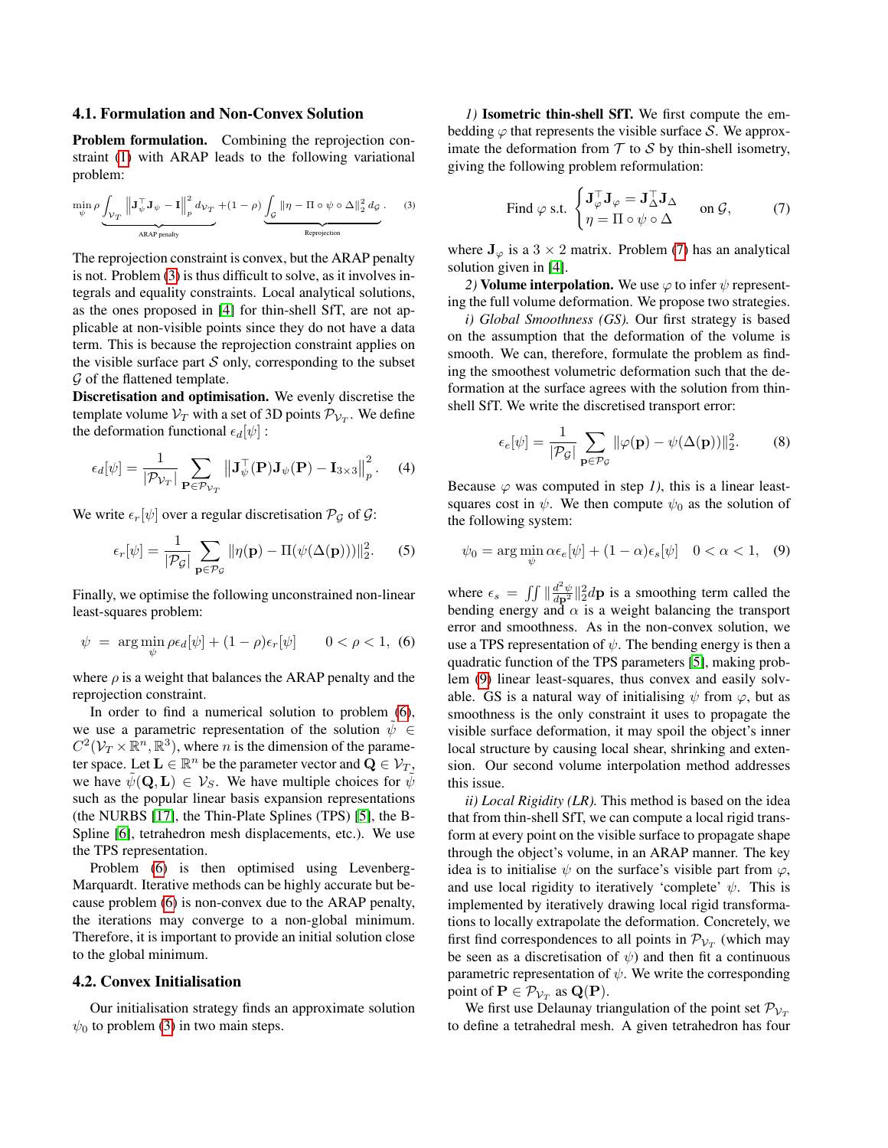#### 4.1. Formulation and Non-Convex Solution

Problem formulation. Combining the reprojection constraint [\(1\)](#page-2-2) with ARAP leads to the following variational problem:

<span id="page-3-0"></span>
$$
\min_{\psi} \rho \underbrace{\int_{\mathcal{V}_T} \left\| \mathbf{J}_{\psi}^{\top} \mathbf{J}_{\psi} - \mathbf{I} \right\|_p^2 d_{\mathcal{V}_T}}_{\text{ARAP penalty}} + (1 - \rho) \underbrace{\int_{\mathcal{G}} \left\| \eta - \Pi \circ \psi \circ \Delta \right\|_2^2 d_{\mathcal{G}}}_{\text{Reprojection}}.
$$
 (3)

The reprojection constraint is convex, but the ARAP penalty is not. Problem [\(3\)](#page-3-0) is thus difficult to solve, as it involves integrals and equality constraints. Local analytical solutions, as the ones proposed in [\[4\]](#page-8-0) for thin-shell SfT, are not applicable at non-visible points since they do not have a data term. This is because the reprojection constraint applies on the visible surface part  $S$  only, corresponding to the subset  $\mathcal G$  of the flattened template.

Discretisation and optimisation. We evenly discretise the template volume  $\mathcal{V}_T$  with a set of 3D points  $\mathcal{P}_{\mathcal{V}_T}$ . We define the deformation functional  $\epsilon_d[\psi]$ :

$$
\epsilon_d[\psi] = \frac{1}{|\mathcal{P}_{\mathcal{V}_T}|} \sum_{\mathbf{P} \in \mathcal{P}_{\mathcal{V}_T}} ||\mathbf{J}_{\psi}^{\top}(\mathbf{P})\mathbf{J}_{\psi}(\mathbf{P}) - \mathbf{I}_{3 \times 3}||_p^2.
$$
 (4)

We write  $\epsilon_r[\psi]$  over a regular discretisation  $\mathcal{P}_{\mathcal{G}}$  of  $\mathcal{G}$ :

$$
\epsilon_r[\psi] = \frac{1}{|\mathcal{P}_{\mathcal{G}}|} \sum_{\mathbf{p} \in \mathcal{P}_{\mathcal{G}}} ||\eta(\mathbf{p}) - \Pi(\psi(\Delta(\mathbf{p})))||_2^2.
$$
 (5)

Finally, we optimise the following unconstrained non-linear least-squares problem:

<span id="page-3-1"></span>
$$
\psi = \arg\min_{\psi} \rho \epsilon_d[\psi] + (1 - \rho)\epsilon_r[\psi] \qquad 0 < \rho < 1, \tag{6}
$$

where  $\rho$  is a weight that balances the ARAP penalty and the reprojection constraint.

In order to find a numerical solution to problem [\(6\)](#page-3-1), we use a parametric representation of the solution  $\psi \in$  $C^2(\mathcal{V}_T\times \mathbb{R}^n,\mathbb{R}^3)$ , where *n* is the dimension of the parameter space. Let  $\mathbf{L} \in \mathbb{R}^n$  be the parameter vector and  $\mathbf{Q} \in \mathcal{V}_T$ , we have  $\psi(\mathbf{Q}, \mathbf{L}) \in \mathcal{V}_S$ . We have multiple choices for  $\psi$ such as the popular linear basis expansion representations (the NURBS [\[17\]](#page-8-24), the Thin-Plate Splines (TPS) [\[5\]](#page-8-25), the B-Spline [\[6\]](#page-8-26), tetrahedron mesh displacements, etc.). We use the TPS representation.

Problem [\(6\)](#page-3-1) is then optimised using Levenberg-Marquardt. Iterative methods can be highly accurate but because problem [\(6\)](#page-3-1) is non-convex due to the ARAP penalty, the iterations may converge to a non-global minimum. Therefore, it is important to provide an initial solution close to the global minimum.

#### 4.2. Convex Initialisation

Our initialisation strategy finds an approximate solution  $\psi_0$  to problem [\(3\)](#page-3-0) in two main steps.

*1)* Isometric thin-shell SfT. We first compute the embedding  $\varphi$  that represents the visible surface S. We approximate the deformation from  $T$  to  $S$  by thin-shell isometry, giving the following problem reformulation:

<span id="page-3-2"></span>Find 
$$
\varphi
$$
 s.t. 
$$
\begin{cases} \mathbf{J}_{\varphi}^{\top} \mathbf{J}_{\varphi} = \mathbf{J}_{\Delta}^{\top} \mathbf{J}_{\Delta} & \text{on } \mathcal{G}, \\ \eta = \Pi \circ \psi \circ \Delta \end{cases}
$$
 (7)

where  $J_{\varphi}$  is a 3 × 2 matrix. Problem [\(7\)](#page-3-2) has an analytical solution given in [\[4\]](#page-8-0).

*2)* Volume interpolation. We use  $\varphi$  to infer  $\psi$  representing the full volume deformation. We propose two strategies.

*i) Global Smoothness (GS).* Our first strategy is based on the assumption that the deformation of the volume is smooth. We can, therefore, formulate the problem as finding the smoothest volumetric deformation such that the deformation at the surface agrees with the solution from thinshell SfT. We write the discretised transport error:

$$
\epsilon_e[\psi] = \frac{1}{|\mathcal{P}_{\mathcal{G}}|} \sum_{\mathbf{p} \in \mathcal{P}_{\mathcal{G}}} ||\varphi(\mathbf{p}) - \psi(\Delta(\mathbf{p}))||_2^2.
$$
 (8)

Because  $\varphi$  was computed in step 1), this is a linear leastsquares cost in  $\psi$ . We then compute  $\psi_0$  as the solution of the following system:

<span id="page-3-3"></span>
$$
\psi_0 = \arg\min_{\psi} \alpha \epsilon_e[\psi] + (1 - \alpha)\epsilon_s[\psi] \quad 0 < \alpha < 1,\tag{9}
$$

where  $\epsilon_s = \iint \left( \frac{d^2 \psi}{dp^2} \right) \frac{2}{2} dp$  is a smoothing term called the bending energy and  $\alpha$  is a weight balancing the transport error and smoothness. As in the non-convex solution, we use a TPS representation of  $\psi$ . The bending energy is then a quadratic function of the TPS parameters [\[5\]](#page-8-25), making problem [\(9\)](#page-3-3) linear least-squares, thus convex and easily solvable. GS is a natural way of initialising  $\psi$  from  $\varphi$ , but as smoothness is the only constraint it uses to propagate the visible surface deformation, it may spoil the object's inner local structure by causing local shear, shrinking and extension. Our second volume interpolation method addresses this issue.

*ii) Local Rigidity (LR).* This method is based on the idea that from thin-shell SfT, we can compute a local rigid transform at every point on the visible surface to propagate shape through the object's volume, in an ARAP manner. The key idea is to initialise  $\psi$  on the surface's visible part from  $\varphi$ , and use local rigidity to iteratively 'complete'  $\psi$ . This is implemented by iteratively drawing local rigid transformations to locally extrapolate the deformation. Concretely, we first find correspondences to all points in  $\mathcal{P}_{\mathcal{V}_T}$  (which may be seen as a discretisation of  $\psi$ ) and then fit a continuous parametric representation of  $\psi$ . We write the corresponding point of  $\mathbf{P} \in \mathcal{P}_{\mathcal{V}_T}$  as  $\mathbf{Q}(\mathbf{P})$ .

We first use Delaunay triangulation of the point set  $\mathcal{P}_{V_T}$ to define a tetrahedral mesh. A given tetrahedron has four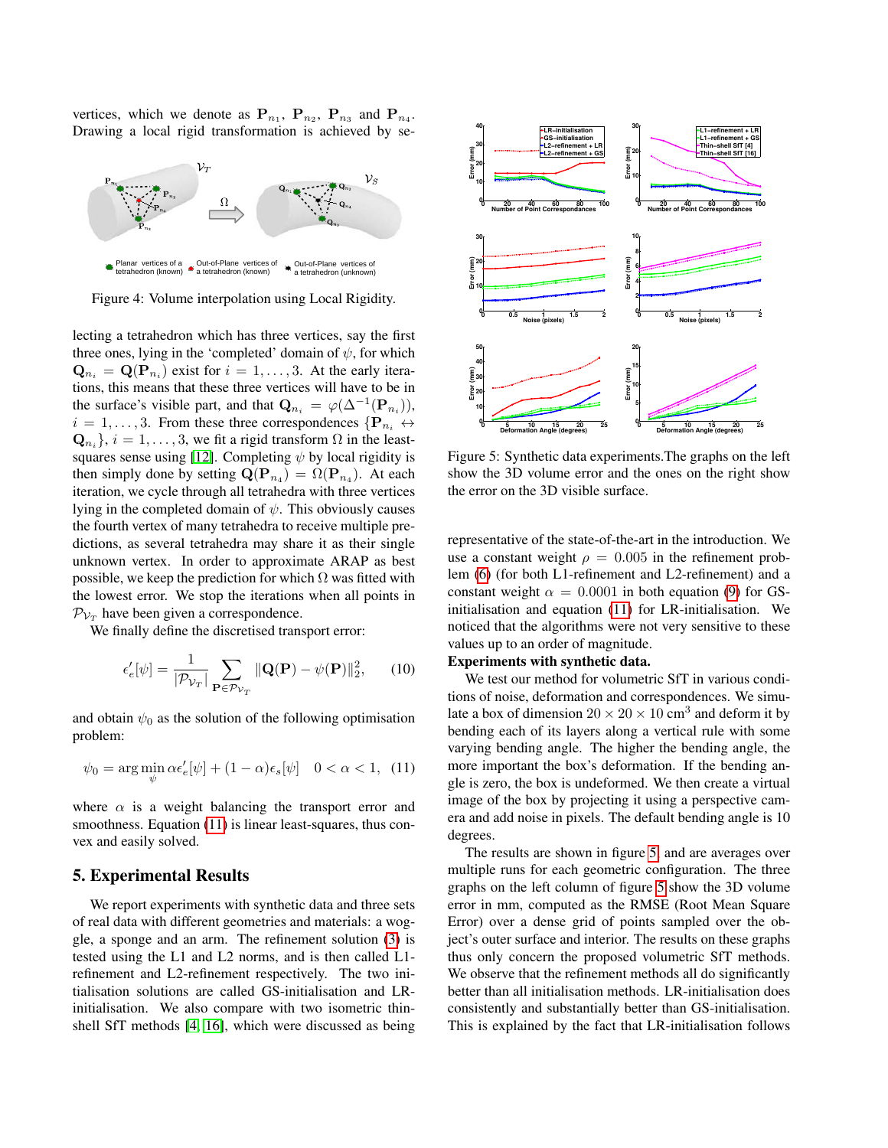vertices, which we denote as  $P_{n_1}$ ,  $P_{n_2}$ ,  $P_{n_3}$  and  $P_{n_4}$ . Drawing a local rigid transformation is achieved by se-



Figure 4: Volume interpolation using Local Rigidity.

lecting a tetrahedron which has three vertices, say the first three ones, lying in the 'completed' domain of  $\psi$ , for which  $\mathbf{Q}_{n_i} = \mathbf{Q}(\mathbf{P}_{n_i})$  exist for  $i = 1, \dots, 3$ . At the early iterations, this means that these three vertices will have to be in the surface's visible part, and that  $\mathbf{Q}_{n_i} = \varphi(\Delta^{-1}(\mathbf{P}_{n_i})),$  $i = 1, \ldots, 3$ . From these three correspondences  $\{P_{n_i} \leftrightarrow$  $\mathbf{Q}_{n_i}$ ,  $i = 1, \ldots, 3$ , we fit a rigid transform  $\Omega$  in the least-squares sense using [\[12\]](#page-8-27). Completing  $\psi$  by local rigidity is then simply done by setting  $\mathbf{Q}(\mathbf{P}_{n_4}) = \Omega(\mathbf{P}_{n_4})$ . At each iteration, we cycle through all tetrahedra with three vertices lying in the completed domain of  $\psi$ . This obviously causes the fourth vertex of many tetrahedra to receive multiple predictions, as several tetrahedra may share it as their single unknown vertex. In order to approximate ARAP as best possible, we keep the prediction for which  $\Omega$  was fitted with the lowest error. We stop the iterations when all points in  $\mathcal{P}_{\mathcal{V}_T}$  have been given a correspondence. State one is the construction of the state of the state of the state one is the constrained as being a termined one in the constrained as being the state of the state of the state of the state of the state of the state of

We finally define the discretised transport error:

$$
\epsilon'_{e}[\psi] = \frac{1}{|\mathcal{P}_{\mathcal{V}_T}|} \sum_{\mathbf{P} \in \mathcal{P}_{\mathcal{V}_T}} \| \mathbf{Q}(\mathbf{P}) - \psi(\mathbf{P}) \|_2^2, \qquad (10)
$$

and obtain  $\psi_0$  as the solution of the following optimisation problem:

<span id="page-4-0"></span>
$$
\psi_0 = \arg\min_{\psi} \alpha \epsilon'_e[\psi] + (1 - \alpha)\epsilon_s[\psi] \quad 0 < \alpha < 1,\tag{11}
$$

where  $\alpha$  is a weight balancing the transport error and smoothness. Equation [\(11\)](#page-4-0) is linear least-squares, thus convex and easily solved.

### 5. Experimental Results

We report experiments with synthetic data and three sets of real data with different geometries and materials: a woggle, a sponge and an arm. The refinement solution [\(3\)](#page-3-0) is tested using the L1 and L2 norms, and is then called L1 refinement and L2-refinement respectively. The two initialisation solutions are called GS-initialisation and LRinitialisation. We also compare with two isometric thin-

<span id="page-4-1"></span>

Figure 5: Synthetic data experiments.The graphs on the left show the 3D volume error and the ones on the right show the error on the 3D visible surface.

representative of the state-of-the-art in the introduction. We use a constant weight  $\rho = 0.005$  in the refinement problem [\(6\)](#page-3-1) (for both L1-refinement and L2-refinement) and a constant weight  $\alpha = 0.0001$  in both equation [\(9\)](#page-3-3) for GSinitialisation and equation [\(11\)](#page-4-0) for LR-initialisation. We noticed that the algorithms were not very sensitive to these values up to an order of magnitude.

### Experiments with synthetic data.

We test our method for volumetric SfT in various conditions of noise, deformation and correspondences. We simulate a box of dimension  $20 \times 20 \times 10 \text{ cm}^3$  and deform it by bending each of its layers along a vertical rule with some varying bending angle. The higher the bending angle, the more important the box's deformation. If the bending angle is zero, the box is undeformed. We then create a virtual image of the box by projecting it using a perspective camera and add noise in pixels. The default bending angle is 10 degrees.

The results are shown in figure [5,](#page-4-1) and are averages over multiple runs for each geometric configuration. The three graphs on the left column of figure [5](#page-4-1) show the 3D volume error in mm, computed as the RMSE (Root Mean Square Error) over a dense grid of points sampled over the object's outer surface and interior. The results on these graphs thus only concern the proposed volumetric SfT methods. We observe that the refinement methods all do significantly better than all initialisation methods. LR-initialisation does consistently and substantially better than GS-initialisation. This is explained by the fact that LR-initialisation follows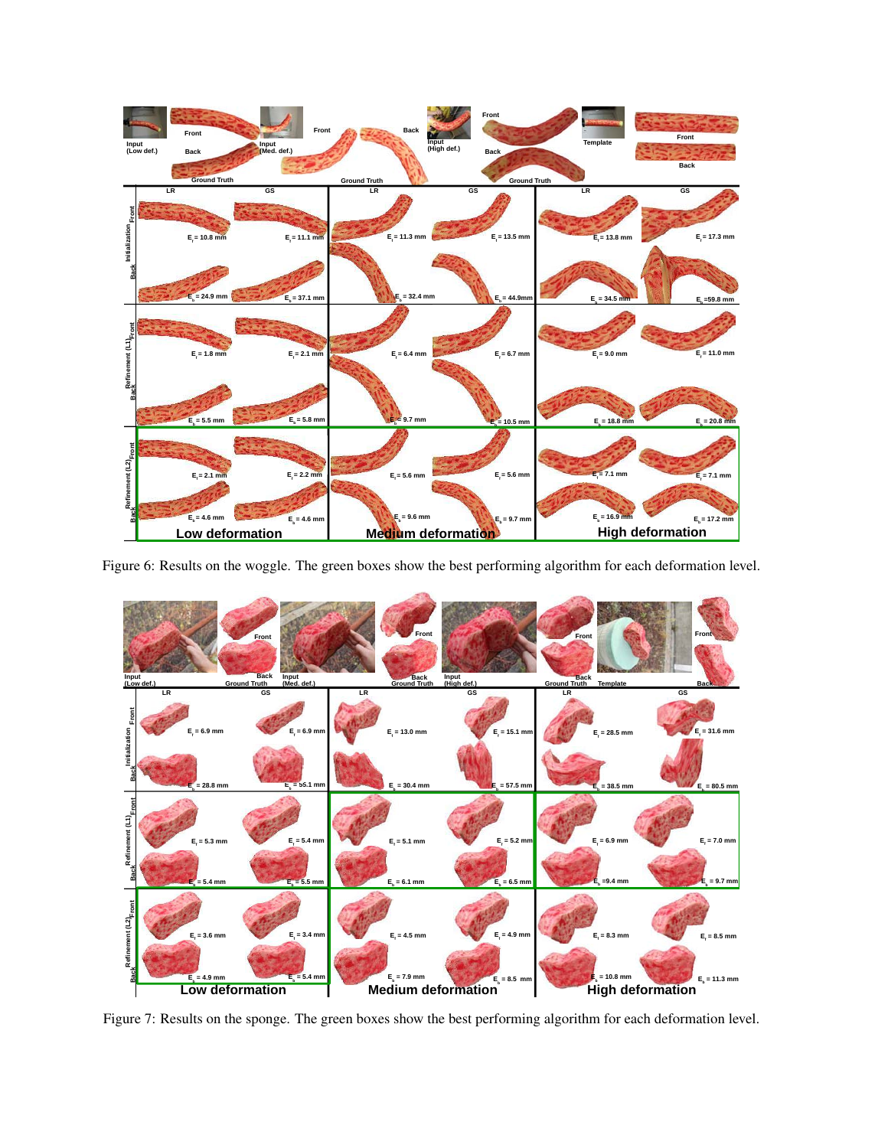<span id="page-5-0"></span>

<span id="page-5-1"></span>Figure 6: Results on the woggle. The green boxes show the best performing algorithm for each deformation level.



Figure 7: Results on the sponge. The green boxes show the best performing algorithm for each deformation level.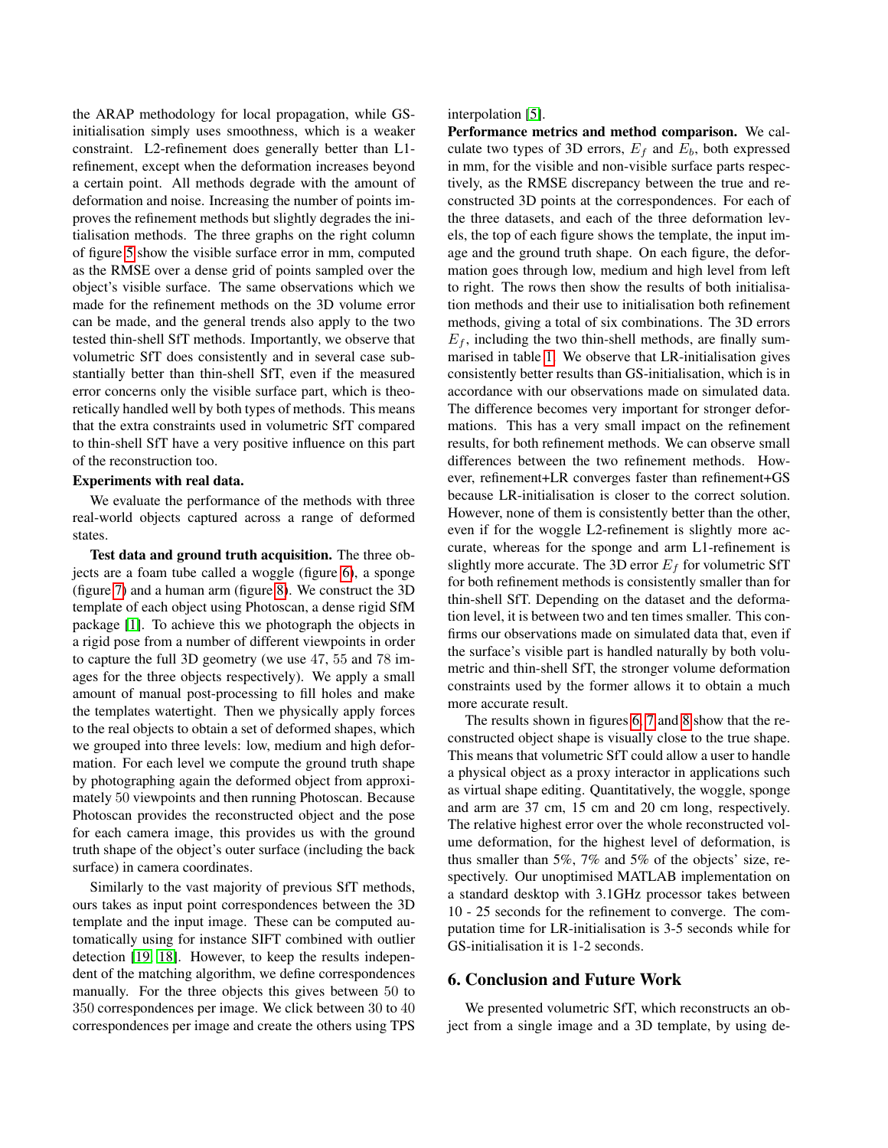the ARAP methodology for local propagation, while GSinitialisation simply uses smoothness, which is a weaker constraint. L2-refinement does generally better than L1 refinement, except when the deformation increases beyond a certain point. All methods degrade with the amount of deformation and noise. Increasing the number of points improves the refinement methods but slightly degrades the initialisation methods. The three graphs on the right column of figure [5](#page-4-1) show the visible surface error in mm, computed as the RMSE over a dense grid of points sampled over the object's visible surface. The same observations which we made for the refinement methods on the 3D volume error can be made, and the general trends also apply to the two tested thin-shell SfT methods. Importantly, we observe that volumetric SfT does consistently and in several case substantially better than thin-shell SfT, even if the measured error concerns only the visible surface part, which is theoretically handled well by both types of methods. This means that the extra constraints used in volumetric SfT compared to thin-shell SfT have a very positive influence on this part of the reconstruction too.

#### Experiments with real data.

We evaluate the performance of the methods with three real-world objects captured across a range of deformed states.

Test data and ground truth acquisition. The three objects are a foam tube called a woggle (figure [6\)](#page-5-0), a sponge (figure [7\)](#page-5-1) and a human arm (figure [8\)](#page-7-0). We construct the 3D template of each object using Photoscan, a dense rigid SfM package [\[1\]](#page-8-28). To achieve this we photograph the objects in a rigid pose from a number of different viewpoints in order to capture the full 3D geometry (we use 47, 55 and 78 images for the three objects respectively). We apply a small amount of manual post-processing to fill holes and make the templates watertight. Then we physically apply forces to the real objects to obtain a set of deformed shapes, which we grouped into three levels: low, medium and high deformation. For each level we compute the ground truth shape by photographing again the deformed object from approximately 50 viewpoints and then running Photoscan. Because Photoscan provides the reconstructed object and the pose for each camera image, this provides us with the ground truth shape of the object's outer surface (including the back surface) in camera coordinates.

Similarly to the vast majority of previous SfT methods, ours takes as input point correspondences between the 3D template and the input image. These can be computed automatically using for instance SIFT combined with outlier detection [\[19,](#page-8-21) [18\]](#page-8-22). However, to keep the results independent of the matching algorithm, we define correspondences manually. For the three objects this gives between 50 to 350 correspondences per image. We click between 30 to 40 correspondences per image and create the others using TPS interpolation [\[5\]](#page-8-25).

Performance metrics and method comparison. We calculate two types of 3D errors,  $E_f$  and  $E_b$ , both expressed in mm, for the visible and non-visible surface parts respectively, as the RMSE discrepancy between the true and reconstructed 3D points at the correspondences. For each of the three datasets, and each of the three deformation levels, the top of each figure shows the template, the input image and the ground truth shape. On each figure, the deformation goes through low, medium and high level from left to right. The rows then show the results of both initialisation methods and their use to initialisation both refinement methods, giving a total of six combinations. The 3D errors  $E_f$ , including the two thin-shell methods, are finally summarised in table [1.](#page-7-1) We observe that LR-initialisation gives consistently better results than GS-initialisation, which is in accordance with our observations made on simulated data. The difference becomes very important for stronger deformations. This has a very small impact on the refinement results, for both refinement methods. We can observe small differences between the two refinement methods. However, refinement+LR converges faster than refinement+GS because LR-initialisation is closer to the correct solution. However, none of them is consistently better than the other, even if for the woggle L2-refinement is slightly more accurate, whereas for the sponge and arm L1-refinement is slightly more accurate. The 3D error  $E_f$  for volumetric SfT for both refinement methods is consistently smaller than for thin-shell SfT. Depending on the dataset and the deformation level, it is between two and ten times smaller. This confirms our observations made on simulated data that, even if the surface's visible part is handled naturally by both volumetric and thin-shell SfT, the stronger volume deformation constraints used by the former allows it to obtain a much more accurate result.

The results shown in figures [6,](#page-5-0) [7](#page-5-1) and [8](#page-7-0) show that the reconstructed object shape is visually close to the true shape. This means that volumetric SfT could allow a user to handle a physical object as a proxy interactor in applications such as virtual shape editing. Quantitatively, the woggle, sponge and arm are 37 cm, 15 cm and 20 cm long, respectively. The relative highest error over the whole reconstructed volume deformation, for the highest level of deformation, is thus smaller than 5%, 7% and 5% of the objects' size, respectively. Our unoptimised MATLAB implementation on a standard desktop with 3.1GHz processor takes between 10 - 25 seconds for the refinement to converge. The computation time for LR-initialisation is 3-5 seconds while for GS-initialisation it is 1-2 seconds.

### 6. Conclusion and Future Work

We presented volumetric SfT, which reconstructs an object from a single image and a 3D template, by using de-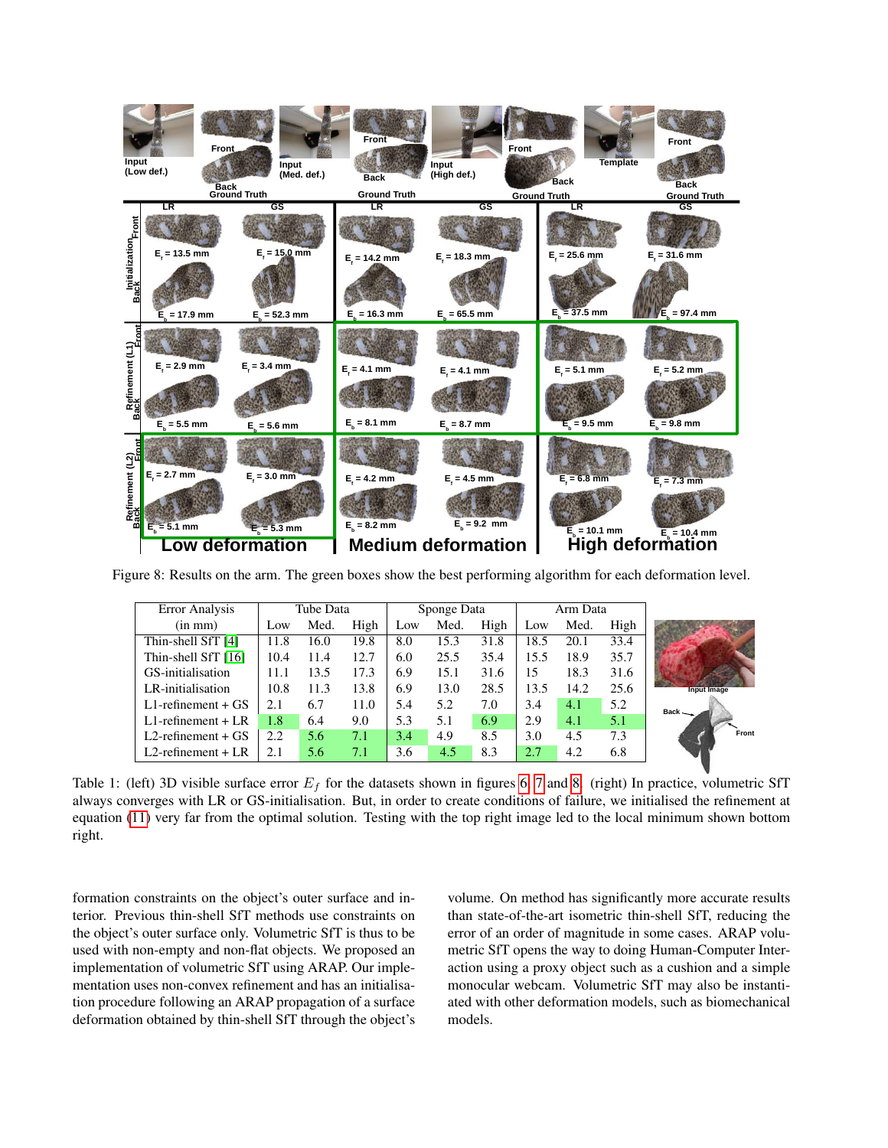<span id="page-7-0"></span>

<span id="page-7-1"></span>Figure 8: Results on the arm. The green boxes show the best performing algorithm for each deformation level.

| Error Analysis          | Tube Data |      |      | Sponge Data |      |      | Arm Data |      |      |                    |
|-------------------------|-----------|------|------|-------------|------|------|----------|------|------|--------------------|
| $(in \, mm)$            | Low       | Med. | High | Low         | Med. | High | Low      | Med. | High |                    |
| Thin-shell SfT [4]      | 11.8      | 16.0 | 19.8 | 8.0         | 15.3 | 31.8 | 18.5     | 20.1 | 33.4 |                    |
| Thin-shell SfT [16]     | 10.4      | 11.4 | 12.7 | 6.0         | 25.5 | 35.4 | 15.5     | 18.9 | 35.7 |                    |
| GS-initialisation       | 11.1      | 13.5 | 17.3 | 6.9         | 15.1 | 31.6 | 15       | 18.3 | 31.6 |                    |
| LR-initialisation       | 10.8      | 11.3 | 13.8 | 6.9         | 13.0 | 28.5 | 13.5     | 14.2 | 25.6 | <b>Input Image</b> |
| $L1$ -refinement + $GS$ | 2.1       | 6.7  | 11.0 | 5.4         | 5.2  | 7.0  | 3.4      | 4.1  | 5.2  | $Back -$           |
| $L1$ -refinement + $LR$ | 1.8       | 6.4  | 9.0  | 5.3         | 5.1  | 6.9  | 2.9      | 4.1  | 5.1  |                    |
| $L2$ -refinement + $GS$ | 2.2       | 5.6  | 7.1  | 3.4         | 4.9  | 8.5  | 3.0      | 4.5  | 7.3  | Front              |
| $L2$ -refinement + $LR$ | 2.1       | 5.6  | 7.1  | 3.6         | 4.5  | 8.3  | 2.7      | 4.2  | 6.8  |                    |

Table 1: (left) 3D visible surface error  $E_f$  for the datasets shown in figures [6,](#page-5-0) [7](#page-5-1) and [8.](#page-7-0) (right) In practice, volumetric SfT always converges with LR or GS-initialisation. But, in order to create conditions of failure, we initialised the refinement at equation [\(11\)](#page-4-0) very far from the optimal solution. Testing with the top right image led to the local minimum shown bottom right.

formation constraints on the object's outer surface and interior. Previous thin-shell SfT methods use constraints on the object's outer surface only. Volumetric SfT is thus to be used with non-empty and non-flat objects. We proposed an implementation of volumetric SfT using ARAP. Our implementation uses non-convex refinement and has an initialisation procedure following an ARAP propagation of a surface deformation obtained by thin-shell SfT through the object's volume. On method has significantly more accurate results than state-of-the-art isometric thin-shell SfT, reducing the error of an order of magnitude in some cases. ARAP volumetric SfT opens the way to doing Human-Computer Interaction using a proxy object such as a cushion and a simple monocular webcam. Volumetric SfT may also be instantiated with other deformation models, such as biomechanical models.